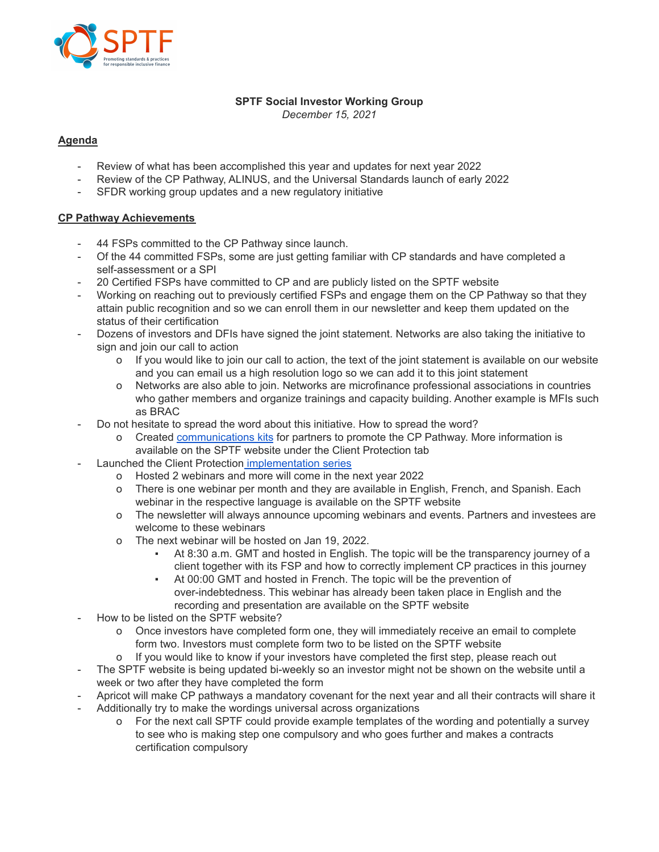

#### **SPTF Social Investor Working Group**

*December 15, 2021*

## **Agenda**

- Review of what has been accomplished this year and updates for next year 2022
- Review of the CP Pathway, ALINUS, and the Universal Standards launch of early 2022
- SFDR working group updates and a new regulatory initiative

## **CP Pathway Achievements**

- 44 FSPs committed to the CP Pathway since launch.
- Of the 44 committed FSPs, some are just getting familiar with CP standards and have completed a self-assessment or a SPI
- 20 Certified FSPs have committed to CP and are publicly listed on the SPTF website
- Working on reaching out to previously certified FSPs and engage them on the CP Pathway so that they attain public recognition and so we can enroll them in our newsletter and keep them updated on the status of their certification
- Dozens of investors and DFIs have signed the joint statement. Networks are also taking the initiative to sign and join our call to action
	- o If you would like to join our call to action, the text of the joint statement is available on our website and you can email us a high resolution logo so we can add it to this joint statement
	- o Networks are also able to join. Networks are microfinance professional associations in countries who gather members and organize trainings and capacity building. Another example is MFIs such as BRAC
- Do not hesitate to spread the word about this initiative. How to spread the word?
	- o Created [communications](https://sptf.info/client-protection/communications-kit-for-our-partners-to-promote-the-cp-pathway) kits for partners to promote the CP Pathway. More information is available on the SPTF website under the Client Protection tab
- Launched the Client Protection [implementation](https://sptf.info/client-protection/client-protection-pathway-implementation-series) series
	- o Hosted 2 webinars and more will come in the next year 2022
	- o There is one webinar per month and they are available in English, French, and Spanish. Each webinar in the respective language is available on the SPTF website
	- o The newsletter will always announce upcoming webinars and events. Partners and investees are welcome to these webinars
	- o The next webinar will be hosted on Jan 19, 2022.
		- At 8:30 a.m. GMT and hosted in English. The topic will be the transparency journey of a client together with its FSP and how to correctly implement CP practices in this journey
		- At 00:00 GMT and hosted in French. The topic will be the prevention of over-indebtedness. This webinar has already been taken place in English and the recording and presentation are available on the SPTF website
- How to be listed on the SPTF website?
	- o Once investors have completed form one, they will immediately receive an email to complete form two. Investors must complete form two to be listed on the SPTF website
	- o If you would like to know if your investors have completed the first step, please reach out
- The SPTF website is being updated bi-weekly so an investor might not be shown on the website until a week or two after they have completed the form
- Apricot will make CP pathways a mandatory covenant for the next year and all their contracts will share it Additionally try to make the wordings universal across organizations
	- o For the next call SPTF could provide example templates of the wording and potentially a survey to see who is making step one compulsory and who goes further and makes a contracts certification compulsory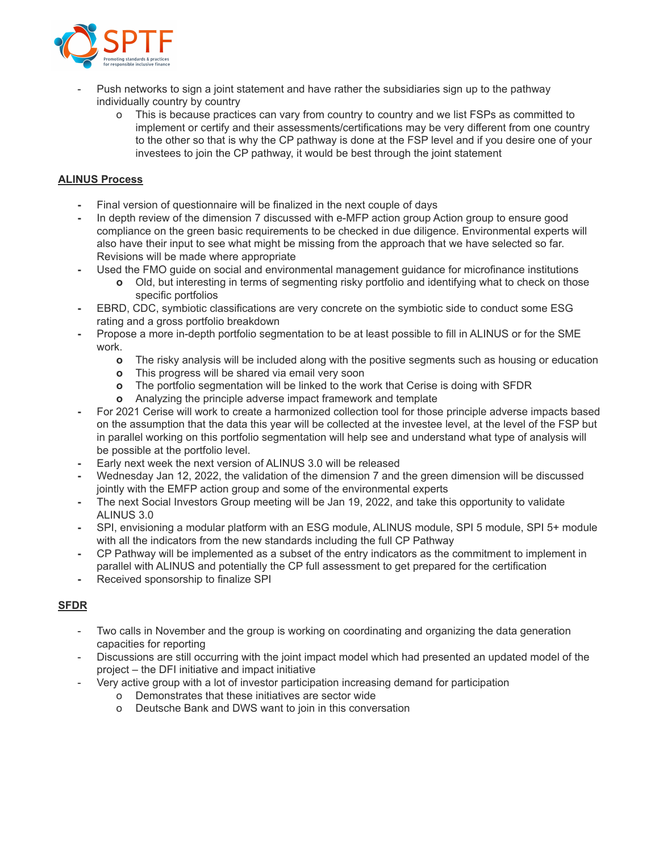

- Push networks to sign a joint statement and have rather the subsidiaries sign up to the pathway individually country by country
	- o This is because practices can vary from country to country and we list FSPs as committed to implement or certify and their assessments/certifications may be very different from one country to the other so that is why the CP pathway is done at the FSP level and if you desire one of your investees to join the CP pathway, it would be best through the joint statement

### **ALINUS Process**

- **-** Final version of questionnaire will be finalized in the next couple of days
- **-** In depth review of the dimension 7 discussed with e-MFP action group Action group to ensure good compliance on the green basic requirements to be checked in due diligence. Environmental experts will also have their input to see what might be missing from the approach that we have selected so far. Revisions will be made where appropriate
- **-** Used the FMO guide on social and environmental management guidance for microfinance institutions
	- **o** Old, but interesting in terms of segmenting risky portfolio and identifying what to check on those specific portfolios
- **-** EBRD, CDC, symbiotic classifications are very concrete on the symbiotic side to conduct some ESG rating and a gross portfolio breakdown
- **-** Propose a more in-depth portfolio segmentation to be at least possible to fill in ALINUS or for the SME work.
	- **o** The risky analysis will be included along with the positive segments such as housing or education
	- **o** This progress will be shared via email very soon
	- **o** The portfolio segmentation will be linked to the work that Cerise is doing with SFDR
	- **o** Analyzing the principle adverse impact framework and template
- **-** For 2021 Cerise will work to create a harmonized collection tool for those principle adverse impacts based on the assumption that the data this year will be collected at the investee level, at the level of the FSP but in parallel working on this portfolio segmentation will help see and understand what type of analysis will be possible at the portfolio level.
- **-** Early next week the next version of ALINUS 3.0 will be released
- **-** Wednesday Jan 12, 2022, the validation of the dimension 7 and the green dimension will be discussed jointly with the EMFP action group and some of the environmental experts
- **-** The next Social Investors Group meeting will be Jan 19, 2022, and take this opportunity to validate ALINUS 3.0
- **-** SPI, envisioning a modular platform with an ESG module, ALINUS module, SPI 5 module, SPI 5+ module with all the indicators from the new standards including the full CP Pathway
- **-** CP Pathway will be implemented as a subset of the entry indicators as the commitment to implement in parallel with ALINUS and potentially the CP full assessment to get prepared for the certification
- **-** Received sponsorship to finalize SPI

## **SFDR**

- Two calls in November and the group is working on coordinating and organizing the data generation capacities for reporting
- Discussions are still occurring with the joint impact model which had presented an updated model of the project – the DFI initiative and impact initiative
- Very active group with a lot of investor participation increasing demand for participation
	- o Demonstrates that these initiatives are sector wide
	- o Deutsche Bank and DWS want to join in this conversation